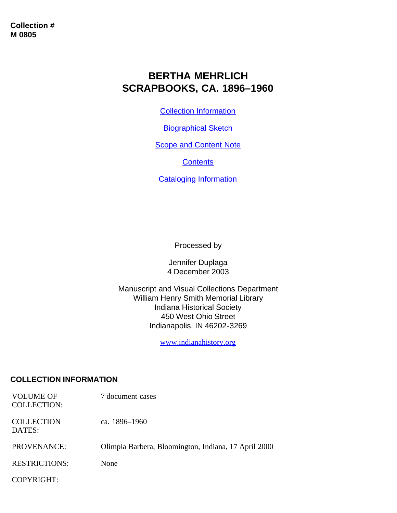# **BERTHA MEHRLICH SCRAPBOOKS, CA. 1896–1960**

[Collection Information](#page-0-0)

**[Biographical Sketch](#page-1-0)** 

**[Scope and Content Note](#page-2-0)** 

**[Contents](#page-2-1)** 

[Cataloging Information](#page-5-0)

Processed by

Jennifer Duplaga 4 December 2003

Manuscript and Visual Collections Department William Henry Smith Memorial Library Indiana Historical Society 450 West Ohio Street Indianapolis, IN 46202-3269

[www.indianahistory.org](http://www.indianahistory.org/)

### <span id="page-0-0"></span>**COLLECTION INFORMATION**

| <b>VOLUME OF</b><br><b>COLLECTION:</b> | 7 document cases                                     |
|----------------------------------------|------------------------------------------------------|
| <b>COLLECTION</b><br>DATES:            | ca. 1896–1960                                        |
| PROVENANCE:                            | Olimpia Barbera, Bloomington, Indiana, 17 April 2000 |
| <b>RESTRICTIONS:</b>                   | None                                                 |
| COPYRIGHT:                             |                                                      |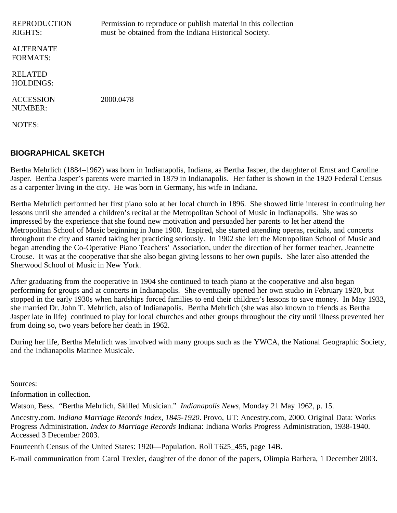| <b>REPRODUCTION</b><br><b>RIGHTS:</b> | Permission to reproduce or publish material in this collection<br>must be obtained from the Indiana Historical Society. |
|---------------------------------------|-------------------------------------------------------------------------------------------------------------------------|
| <b>ALTERNATE</b><br><b>FORMATS:</b>   |                                                                                                                         |
| <b>RELATED</b><br><b>HOLDINGS:</b>    |                                                                                                                         |
| <b>ACCESSION</b><br><b>NUMBER:</b>    | 2000.0478                                                                                                               |
| NOTES:                                |                                                                                                                         |

#### <span id="page-1-0"></span>**BIOGRAPHICAL SKETCH**

Bertha Mehrlich (1884–1962) was born in Indianapolis, Indiana, as Bertha Jasper, the daughter of Ernst and Caroline Jasper. Bertha Jasper's parents were married in 1879 in Indianapolis. Her father is shown in the 1920 Federal Census as a carpenter living in the city. He was born in Germany, his wife in Indiana.

Bertha Mehrlich performed her first piano solo at her local church in 1896. She showed little interest in continuing her lessons until she attended a children's recital at the Metropolitan School of Music in Indianapolis. She was so impressed by the experience that she found new motivation and persuaded her parents to let her attend the Metropolitan School of Music beginning in June 1900. Inspired, she started attending operas, recitals, and concerts throughout the city and started taking her practicing seriously. In 1902 she left the Metropolitan School of Music and began attending the Co-Operative Piano Teachers' Association, under the direction of her former teacher, Jeannette Crouse. It was at the cooperative that she also began giving lessons to her own pupils. She later also attended the Sherwood School of Music in New York.

After graduating from the cooperative in 1904 she continued to teach piano at the cooperative and also began performing for groups and at concerts in Indianapolis. She eventually opened her own studio in February 1920, but stopped in the early 1930s when hardships forced families to end their children's lessons to save money. In May 1933, she married Dr. John T. Mehrlich, also of Indianapolis. Bertha Mehrlich (she was also known to friends as Bertha Jasper late in life) continued to play for local churches and other groups throughout the city until illness prevented her from doing so, two years before her death in 1962.

During her life, Bertha Mehrlich was involved with many groups such as the YWCA, the National Geographic Society, and the Indianapolis Matinee Musicale.

Sources:

Information in collection.

Watson, Bess. "Bertha Mehrlich, Skilled Musician." *Indianapolis News*, Monday 21 May 1962, p. 15.

Ancestry.com. *Indiana Marriage Records Index, 1845-1920*. Provo, UT: Ancestry.com, 2000. Original Data: Works Progress Administration. *Index to Marriage Records* Indiana: Indiana Works Progress Administration, 1938-1940. Accessed 3 December 2003.

Fourteenth Census of the United States: 1920—Population. Roll T625\_455, page 14B.

E-mail communication from Carol Trexler, daughter of the donor of the papers, Olimpia Barbera, 1 December 2003.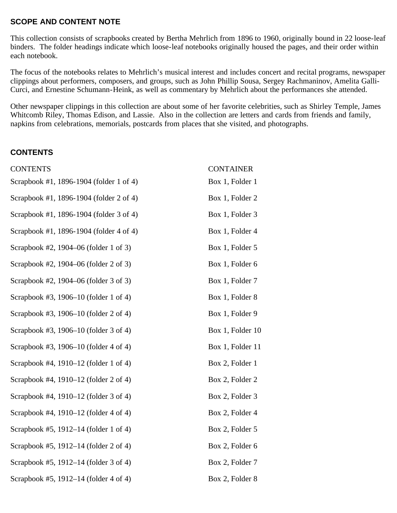### <span id="page-2-0"></span>**SCOPE AND CONTENT NOTE**

This collection consists of scrapbooks created by Bertha Mehrlich from 1896 to 1960, originally bound in 22 loose-leaf binders. The folder headings indicate which loose-leaf notebooks originally housed the pages, and their order within each notebook.

The focus of the notebooks relates to Mehrlich's musical interest and includes concert and recital programs, newspaper clippings about performers, composers, and groups, such as John Phillip Sousa, Sergey Rachmaninov, Amelita Galli-Curci, and Ernestine Schumann-Heink, as well as commentary by Mehrlich about the performances she attended.

Other newspaper clippings in this collection are about some of her favorite celebrities, such as Shirley Temple, James Whitcomb Riley, Thomas Edison, and Lassie. Also in the collection are letters and cards from friends and family, napkins from celebrations, memorials, postcards from places that she visited, and photographs.

## <span id="page-2-1"></span>**CONTENTS**

| <b>CONTENTS</b>                         | <b>CONTAINER</b> |
|-----------------------------------------|------------------|
| Scrapbook #1, 1896-1904 (folder 1 of 4) | Box 1, Folder 1  |
| Scrapbook #1, 1896-1904 (folder 2 of 4) | Box 1, Folder 2  |
| Scrapbook #1, 1896-1904 (folder 3 of 4) | Box 1, Folder 3  |
| Scrapbook #1, 1896-1904 (folder 4 of 4) | Box 1, Folder 4  |
| Scrapbook #2, 1904–06 (folder 1 of 3)   | Box 1, Folder 5  |
| Scrapbook #2, 1904–06 (folder 2 of 3)   | Box 1, Folder 6  |
| Scrapbook #2, 1904–06 (folder 3 of 3)   | Box 1, Folder 7  |
| Scrapbook #3, 1906–10 (folder 1 of 4)   | Box 1, Folder 8  |
| Scrapbook #3, 1906–10 (folder 2 of 4)   | Box 1, Folder 9  |
| Scrapbook #3, 1906–10 (folder 3 of 4)   | Box 1, Folder 10 |
| Scrapbook #3, 1906–10 (folder 4 of 4)   | Box 1, Folder 11 |
| Scrapbook #4, 1910–12 (folder 1 of 4)   | Box 2, Folder 1  |
| Scrapbook #4, 1910–12 (folder 2 of 4)   | Box 2, Folder 2  |
| Scrapbook #4, 1910–12 (folder 3 of 4)   | Box 2, Folder 3  |
| Scrapbook #4, 1910–12 (folder 4 of 4)   | Box 2, Folder 4  |
| Scrapbook #5, 1912–14 (folder 1 of 4)   | Box 2, Folder 5  |
| Scrapbook #5, 1912–14 (folder 2 of 4)   | Box 2, Folder 6  |
| Scrapbook #5, 1912–14 (folder 3 of 4)   | Box 2, Folder 7  |
| Scrapbook #5, 1912–14 (folder 4 of 4)   | Box 2, Folder 8  |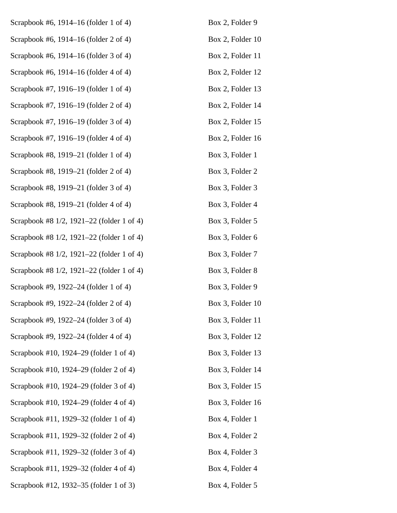| Scrapbook #6, 1914–16 (folder 1 of 4)     | Box 2, Folder 9  |
|-------------------------------------------|------------------|
| Scrapbook #6, 1914–16 (folder 2 of 4)     | Box 2, Folder 10 |
| Scrapbook #6, 1914-16 (folder 3 of 4)     | Box 2, Folder 11 |
| Scrapbook #6, 1914–16 (folder 4 of 4)     | Box 2, Folder 12 |
| Scrapbook #7, 1916–19 (folder 1 of 4)     | Box 2, Folder 13 |
| Scrapbook #7, 1916–19 (folder 2 of 4)     | Box 2, Folder 14 |
| Scrapbook #7, 1916–19 (folder 3 of 4)     | Box 2, Folder 15 |
| Scrapbook #7, 1916–19 (folder 4 of 4)     | Box 2, Folder 16 |
| Scrapbook #8, 1919–21 (folder 1 of 4)     | Box 3, Folder 1  |
| Scrapbook #8, 1919–21 (folder 2 of 4)     | Box 3, Folder 2  |
| Scrapbook #8, 1919–21 (folder 3 of 4)     | Box 3, Folder 3  |
| Scrapbook #8, 1919–21 (folder 4 of 4)     | Box 3, Folder 4  |
| Scrapbook #8 1/2, 1921–22 (folder 1 of 4) | Box 3, Folder 5  |
| Scrapbook #8 1/2, 1921–22 (folder 1 of 4) | Box 3, Folder 6  |
| Scrapbook #8 1/2, 1921-22 (folder 1 of 4) | Box 3, Folder 7  |
| Scrapbook #8 1/2, 1921–22 (folder 1 of 4) | Box 3, Folder 8  |
| Scrapbook #9, 1922–24 (folder 1 of 4)     | Box 3, Folder 9  |
| Scrapbook #9, 1922-24 (folder 2 of 4)     | Box 3, Folder 10 |
| Scrapbook #9, 1922–24 (folder 3 of 4)     | Box 3, Folder 11 |
| Scrapbook #9, 1922–24 (folder 4 of 4)     | Box 3, Folder 12 |
| Scrapbook #10, 1924–29 (folder 1 of 4)    | Box 3, Folder 13 |
| Scrapbook #10, 1924–29 (folder 2 of 4)    | Box 3, Folder 14 |
| Scrapbook #10, 1924–29 (folder 3 of 4)    | Box 3, Folder 15 |
| Scrapbook #10, 1924–29 (folder 4 of 4)    | Box 3, Folder 16 |
| Scrapbook #11, 1929–32 (folder 1 of 4)    | Box 4, Folder 1  |
| Scrapbook #11, 1929–32 (folder 2 of 4)    | Box 4, Folder 2  |
| Scrapbook #11, 1929-32 (folder 3 of 4)    | Box 4, Folder 3  |
| Scrapbook #11, 1929–32 (folder 4 of 4)    | Box 4, Folder 4  |
| Scrapbook #12, 1932–35 (folder 1 of 3)    | Box 4, Folder 5  |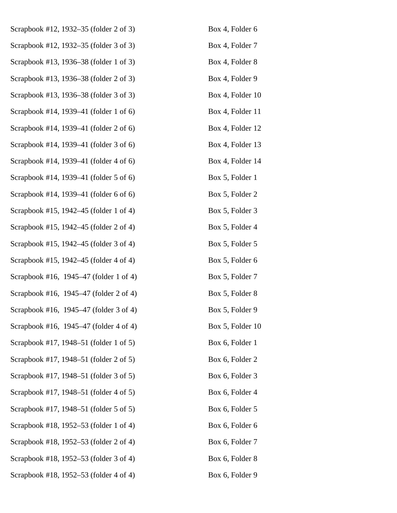| Scrapbook #12, 1932-35 (folder 2 of 3) | Box 4, Folder 6  |
|----------------------------------------|------------------|
| Scrapbook #12, 1932-35 (folder 3 of 3) | Box 4, Folder 7  |
| Scrapbook #13, 1936–38 (folder 1 of 3) | Box 4, Folder 8  |
| Scrapbook #13, 1936-38 (folder 2 of 3) | Box 4, Folder 9  |
| Scrapbook #13, 1936–38 (folder 3 of 3) | Box 4, Folder 10 |
| Scrapbook #14, 1939–41 (folder 1 of 6) | Box 4, Folder 11 |
| Scrapbook #14, 1939–41 (folder 2 of 6) | Box 4, Folder 12 |
| Scrapbook #14, 1939-41 (folder 3 of 6) | Box 4, Folder 13 |
| Scrapbook #14, 1939–41 (folder 4 of 6) | Box 4, Folder 14 |
| Scrapbook #14, 1939–41 (folder 5 of 6) | Box 5, Folder 1  |
| Scrapbook #14, 1939–41 (folder 6 of 6) | Box 5, Folder 2  |
| Scrapbook #15, 1942-45 (folder 1 of 4) | Box 5, Folder 3  |
| Scrapbook #15, 1942–45 (folder 2 of 4) | Box 5, Folder 4  |
| Scrapbook #15, 1942-45 (folder 3 of 4) | Box 5, Folder 5  |
| Scrapbook #15, 1942–45 (folder 4 of 4) | Box 5, Folder 6  |
| Scrapbook #16, 1945–47 (folder 1 of 4) | Box 5, Folder 7  |
| Scrapbook #16, 1945–47 (folder 2 of 4) | Box 5, Folder 8  |
| Scrapbook #16, 1945–47 (folder 3 of 4) | Box 5, Folder 9  |
| Scrapbook #16, 1945–47 (folder 4 of 4) | Box 5, Folder 10 |
| Scrapbook #17, 1948–51 (folder 1 of 5) | Box 6, Folder 1  |
| Scrapbook #17, 1948–51 (folder 2 of 5) | Box 6, Folder 2  |
| Scrapbook #17, 1948–51 (folder 3 of 5) | Box 6, Folder 3  |
| Scrapbook #17, 1948–51 (folder 4 of 5) | Box 6, Folder 4  |
| Scrapbook #17, 1948–51 (folder 5 of 5) | Box 6, Folder 5  |
| Scrapbook #18, 1952–53 (folder 1 of 4) | Box 6, Folder 6  |
| Scrapbook #18, 1952-53 (folder 2 of 4) | Box 6, Folder 7  |
| Scrapbook #18, 1952–53 (folder 3 of 4) | Box 6, Folder 8  |
| Scrapbook #18, 1952–53 (folder 4 of 4) | Box 6, Folder 9  |